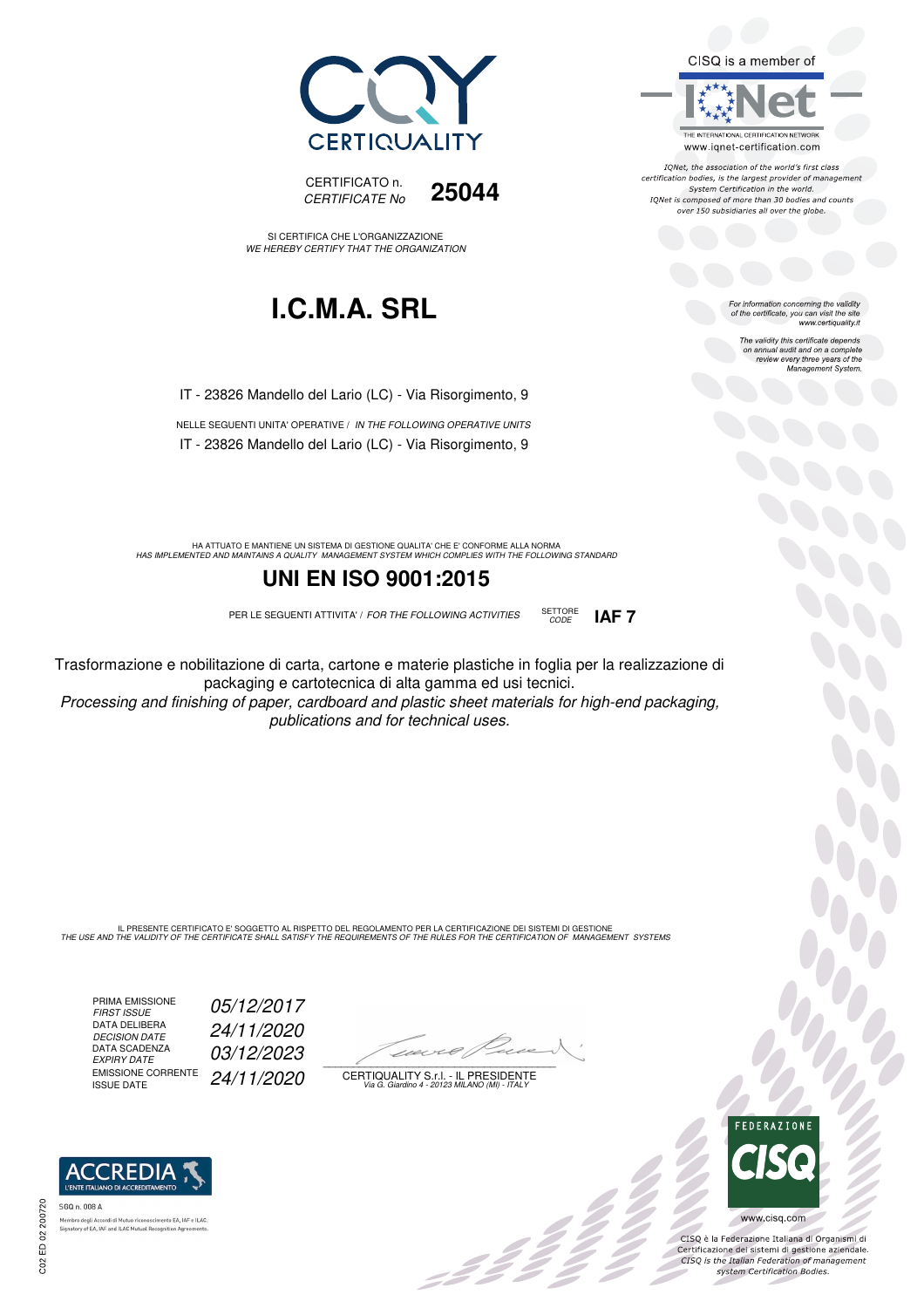



SI CERTIFICA CHE L'ORGANIZZAZIONE WE HEREBY CERTIFY THAT THE ORGANIZATION

## **I.C.M.A. SRL**

IT - 23826 Mandello del Lario (LC) - Via Risorgimento, 9

NELLE SEGUENTI UNITA' OPERATIVE / IN THE FOLLOWING OPERATIVE UNITS IT - 23826 Mandello del Lario (LC) - Via Risorgimento, 9

HA ATTUATO E MANTIENE UN SISTEMA DI GESTIONE QUALITA' CHE E' CONFORME ALLA NORMA<br>HAS IMPLEMENTED AND MAINTAINS A QUALITY MANAGEMENT SYSTEM WHICH COMPLIES WITH THE FOLLOWING STANDARD

#### **UNI EN ISO 9001:2015**

PER LE SEGUENTI ATTIVITA' / FOR THE FOLLOWING ACTIVITIES SETTORE



Trasformazione e nobilitazione di carta, cartone e materie plastiche in foglia per la realizzazione di packaging e cartotecnica di alta gamma ed usi tecnici.

Processing and finishing of paper, cardboard and plastic sheet materials for high-end packaging, publications and for technical uses.

IL PRESENTE CERTIFICATO E' SOGGETTO AL RISPETTO DEL REGOLAMENTO PER LA CERTIFICAZIONE DEI SISTEMI DI GESTIONE<br>THE USE AND THE VALIDITY OF THE CERTIFICATE SHALL SATISFY THE REQUIREMENTS OF THE RULES FOR THE CERTIFICATION OF

PRIMA EMISSIONE<br>FIRST ISSUE DATA DELIBERA DECISION DATE<br>DATA SCADENZA<br>EXPIRY DATE EMISSIONE CORRENTE<br>ISSUE DATE

05/12/2017 DECISION DATE 24/11/2020 03/12/2023 24/11/2020

 $\overline{\phantom{a}}$ 

: 11

CERTIQUALITY S.r.l. - IL PRESIDENTE Via G. Giardino 4 - 20123 MILANO (MI) - ITALY



 $\frac{1}{2}$ 

www.cisq.com

CISQ è la Federazione Italiana di Organismi di Certificazione dei sistemi di gestione aziendale.<br>CISQ is the Italian Federation of management system Certification Bodies.



tory of EA, IAF and ILAC Mutual Recognit



For information concerning the validity<br>of the certificate, you can visit the site<br>www.certiquality.it

CISQ is a member of

THE INTERNATIONAL CERTIFICATION NETWORK

www.iqnet-certification.com IONet, the association of the world's first class certification bodies, is the largest provider of management System Certification in the world. IQNet is composed of more than 30 bodies and counts over 150 subsidiaries all over the globe.

> The validity this certificate depends on annual audit and on a complete review every three years of the Management System.